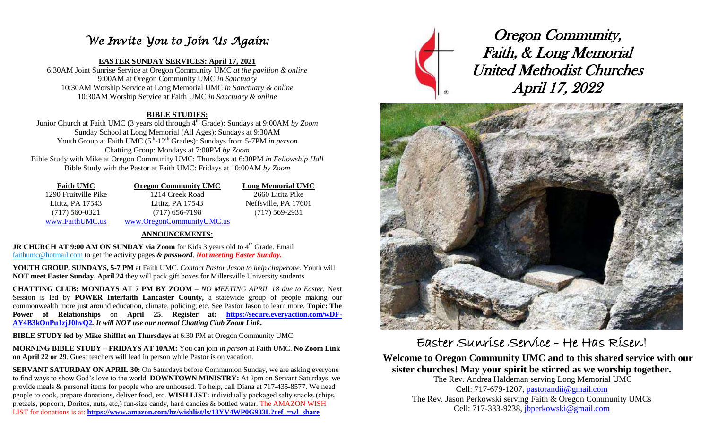### *We Invite You to Join Us Again:*

### **EASTER SUNDAY SERVICES: April 17, 2021**

6:30AM Joint Sunrise Service at Oregon Community UMC *at the pavilion & online* 9:00AM at Oregon Community UMC *in Sanctuary* 10:30AM Worship Service at Long Memorial UMC *in Sanctuary & online* 10:30AM Worship Service at Faith UMC *in Sanctuary & online*

### **BIBLE STUDIES:**

Junior Church at Faith UMC (3 years old through 4th Grade): Sundays at 9:00AM *by Zoom* Sunday School at Long Memorial (All Ages): Sundays at 9:30AM Youth Group at Faith UMC (5<sup>th</sup>-12<sup>th</sup> Grades): Sundays from 5-7PM *in person* Chatting Group: Mondays at 7:00PM *by Zoom* Bible Study with Mike at Oregon Community UMC: Thursdays at 6:30PM *in Fellowship Hall* Bible Study with the Pastor at Faith UMC: Fridays at 10:00AM *by Zoom*

| <b>Faith UMC</b>     | <b>Oregon Community UMC</b> | <b>Long Memorial UMC</b> |
|----------------------|-----------------------------|--------------------------|
| 1290 Fruitville Pike | 1214 Creek Road             | 2660 Lititz Pike         |
| Lititz, PA 17543     | Lititz, PA 17543            | Neffsville, PA 17601     |
| $(717)$ 560-0321     | $(717)$ 656-7198            | $(717)$ 569-2931         |
| www.FaithUMC.us      | www.OregonCommunityUMC.us   |                          |

### **ANNOUNCEMENTS:**

**JR CHURCH AT 9:00 AM ON SUNDAY via Zoom** for Kids 3 years old to 4<sup>th</sup> Grade. Email [faithumc@hotmail.com](about:blank) to get the activity pages *& password*. *Not meeting Easter Sunday.*

**YOUTH GROUP, SUNDAYS, 5-7 PM** at Faith UMC. *Contact Pastor Jason to help chaperone.* Youth will **NOT meet Easter Sunday. April 24** they will pack gift boxes for Millersville University students.

**CHATTING CLUB: MONDAYS AT 7 PM BY ZOOM** – *NO MEETING APRIL 18 due to Easter.* Next Session is led by **POWER Interfaith Lancaster County,** a statewide group of people making our commonwealth more just around education, climate, policing, etc. See Pastor Jason to learn more. **Topic: The Power of Relationships** on **April 25**. **Register at: [https://secure.everyaction.com/wDF-](https://secure.everyaction.com/wDF-AY4B3kOnPu1zjJ0hvQ2)[AY4B3kOnPu1zjJ0hvQ2](https://secure.everyaction.com/wDF-AY4B3kOnPu1zjJ0hvQ2)***. It will NOT use our normal Chatting Club Zoom Link.*

**BIBLE STUDY led by Mike Shifflet on Thursdays** at 6:30 PM at Oregon Community UMC.

**MORNING BIBLE STUDY – FRIDAYS AT 10AM:** You can join *in person* at Faith UMC. **No Zoom Link on April 22 or 29**. Guest teachers will lead in person while Pastor is on vacation.

**SERVANT SATURDAY ON APRIL 30:** On Saturdays before Communion Sunday, we are asking everyone to find ways to show God's love to the world. **DOWNTOWN MINISTRY:** At 2pm on Servant Saturdays, we provide meals & personal items for people who are unhoused. To help, call Diana at 717-435-8577. We need people to cook, prepare donations, deliver food, etc. **WISH LIST:** individually packaged salty snacks (chips, pretzels, popcorn, Doritos, nuts, etc,) fun-size candy, hard candies & bottled water. The AMAZON WISH LIST for donations is at: **https://www.amazon.com/hz/wishlist/ls/18YV4WP0G933L?ref** =wl\_share



Oregon Community, Faith, & Long Memorial United Methodist Churches April 17, 2022



# Easter Sunrise Service - He Has Risen!

### **Welcome to Oregon Community UMC and to this shared service with our sister churches! May your spirit be stirred as we worship together.**

The Rev. Andrea Haldeman serving Long Memorial UMC Cell: 717-679-1207, [pastorandii@gmail.com](mailto:pastorandii@gmail.com) The Rev. Jason Perkowski serving Faith & Oregon Community UMCs Cell: 717-333-9238, [jbperkowski@gmail.com](mailto:jbperkowski@gmail.com)